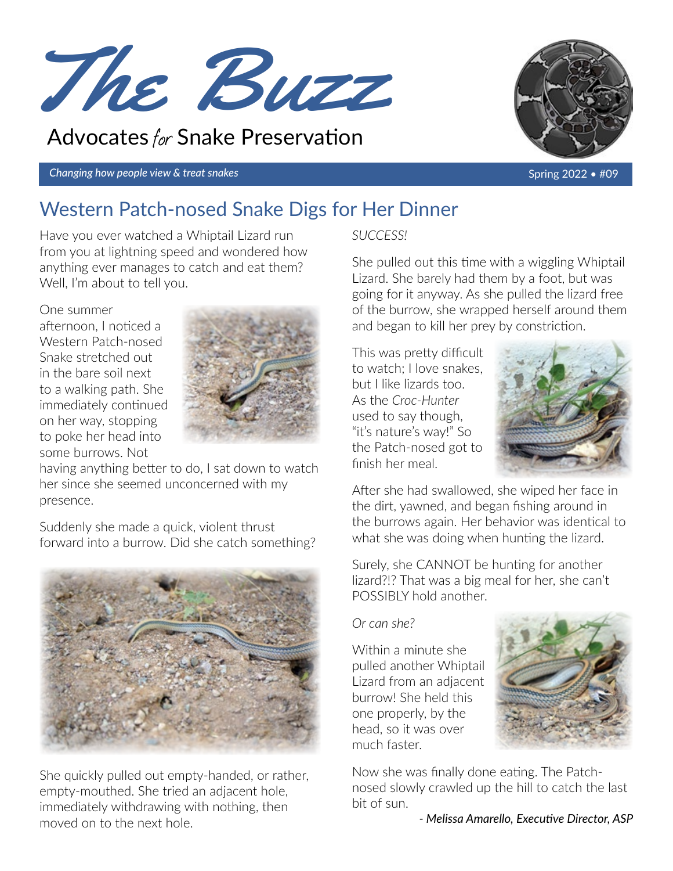

# Advocates for Snake Preservation

*Changing how people view & treat snakes* Spring 2022 • #09



# Western Patch-nosed Snake Digs for Her Dinner

Have you ever watched a Whiptail Lizard run from you at lightning speed and wondered how anything ever manages to catch and eat them? Well, I'm about to tell you.

### One summer

afternoon, I noticed a Western Patch-nosed Snake stretched out in the bare soil next to a walking path. She immediately continued on her way, stopping to poke her head into some burrows. Not



having anything better to do, I sat down to watch her since she seemed unconcerned with my presence.

Suddenly she made a quick, violent thrust forward into a burrow. Did she catch something?



She quickly pulled out empty-handed, or rather, empty-mouthed. She tried an adjacent hole, immediately withdrawing with nothing, then moved on to the next hole.

*SUCCESS!*

She pulled out this time with a wiggling Whiptail Lizard. She barely had them by a foot, but was going for it anyway. As she pulled the lizard free of the burrow, she wrapped herself around them and began to kill her prey by constriction.

This was pretty difficult to watch; I love snakes, but I like lizards too. As the *Croc-Hunter* used to say though, "it's nature's way!" So the Patch-nosed got to finish her meal.



After she had swallowed, she wiped her face in the dirt, yawned, and began fishing around in the burrows again. Her behavior was identical to what she was doing when hunting the lizard.

Surely, she CANNOT be hunting for another lizard?!? That was a big meal for her, she can't POSSIBLY hold another.

### *Or can she?*

Within a minute she pulled another Whiptail Lizard from an adjacent burrow! She held this one properly, by the head, so it was over much faster.



Now she was finally done eating. The Patchnosed slowly crawled up the hill to catch the last bit of sun.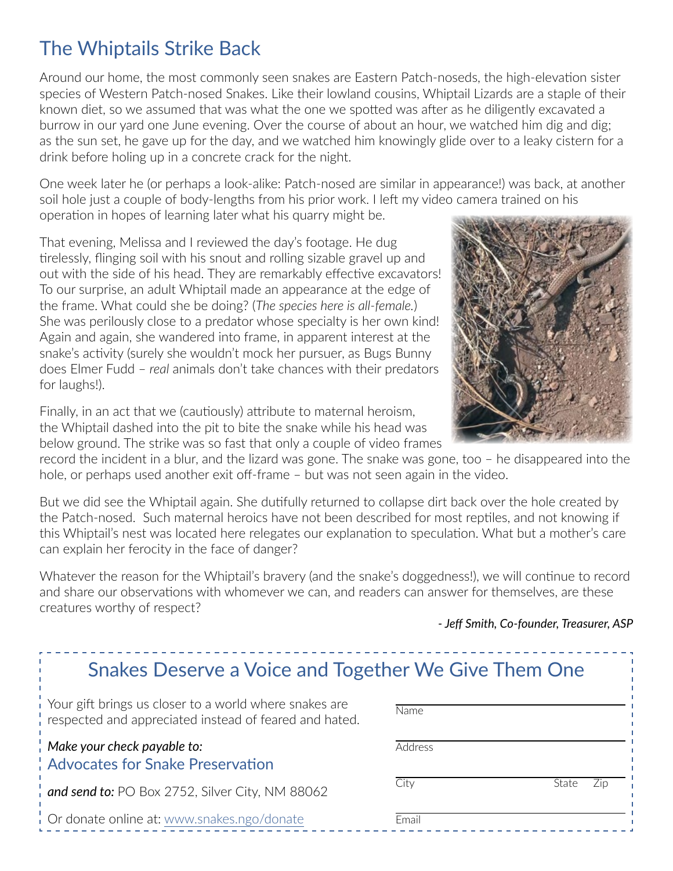## The Whiptails Strike Back

Around our home, the most commonly seen snakes are Eastern Patch-noseds, the high-elevation sister species of Western Patch-nosed Snakes. Like their lowland cousins, Whiptail Lizards are a staple of their known diet, so we assumed that was what the one we spotted was after as he diligently excavated a burrow in our yard one June evening. Over the course of about an hour, we watched him dig and dig; as the sun set, he gave up for the day, and we watched him knowingly glide over to a leaky cistern for a drink before holing up in a concrete crack for the night.

One week later he (or perhaps a look-alike: Patch-nosed are similar in appearance!) was back, at another soil hole just a couple of body-lengths from his prior work. I left my video camera trained on his operation in hopes of learning later what his quarry might be.

That evening, Melissa and I reviewed the day's footage. He dug tirelessly, flinging soil with his snout and rolling sizable gravel up and out with the side of his head. They are remarkably effective excavators! To our surprise, an adult Whiptail made an appearance at the edge of the frame. What could she be doing? (*The species here is all-female.*) She was perilously close to a predator whose specialty is her own kind! Again and again, she wandered into frame, in apparent interest at the snake's activity (surely she wouldn't mock her pursuer, as Bugs Bunny does Elmer Fudd – *real* animals don't take chances with their predators for laughs!).

Finally, in an act that we (cautiously) attribute to maternal heroism, the Whiptail dashed into the pit to bite the snake while his head was below ground. The strike was so fast that only a couple of video frames

record the incident in a blur, and the lizard was gone. The snake was gone, too – he disappeared into the hole, or perhaps used another exit off-frame – but was not seen again in the video.

But we did see the Whiptail again. She dutifully returned to collapse dirt back over the hole created by the Patch-nosed. Such maternal heroics have not been described for most reptiles, and not knowing if this Whiptail's nest was located here relegates our explanation to speculation. What but a mother's care can explain her ferocity in the face of danger?

Whatever the reason for the Whiptail's bravery (and the snake's doggedness!), we will continue to record and share our observations with whomever we can, and readers can answer for themselves, are these creatures worthy of respect?

*- Jeff Smith, Co-founder, Treasurer, ASP*

| Snakes Deserve a Voice and Together We Give Them One   |       |
|--------------------------------------------------------|-------|
| Your gift brings us closer to a world where snakes are | \lama |

| respected and appreciated instead of feared and hated.                 | 1.31111. |              |
|------------------------------------------------------------------------|----------|--------------|
| Make your check payable to:<br><b>Advocates for Snake Preservation</b> | Address  |              |
| and send to: PO Box 2752, Silver City, NM 88062                        | Citv     | 7in<br>State |
| Or donate online at: www.snakes.ngo/donate                             | Fmail    |              |

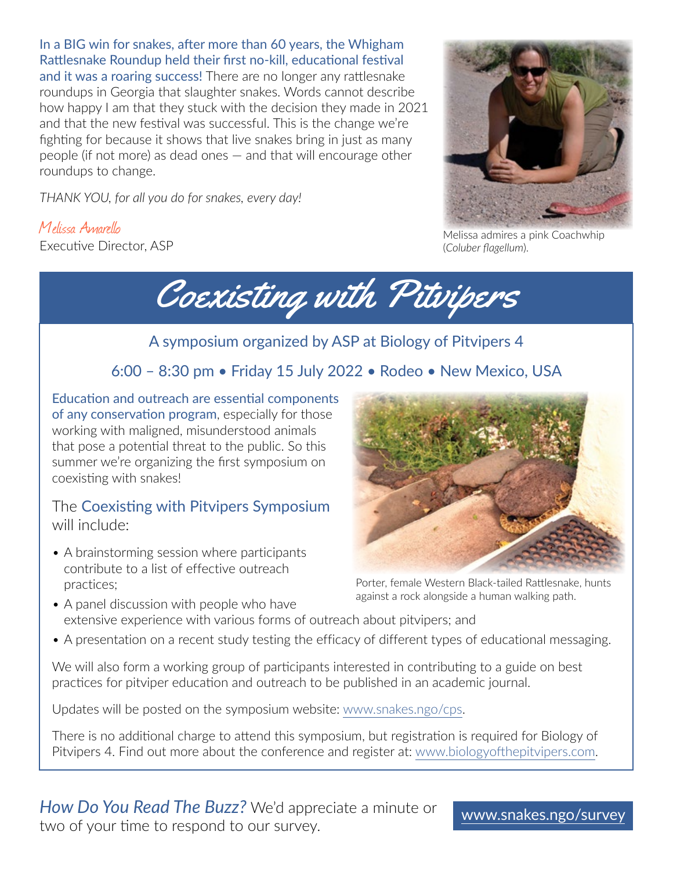In a BIG win for snakes, after more than 60 years, the Whigham Rattlesnake Roundup held their first no-kill, educational festival and it was a roaring success! There are no longer any rattlesnake roundups in Georgia that slaughter snakes. Words cannot describe how happy I am that they stuck with the decision they made in 2021 and that the new festival was successful. This is the change we're fighting for because it shows that live snakes bring in just as many people (if not more) as dead ones — and that will encourage other roundups to change.

*THANK YOU, for all you do for snakes, every day!*

Melissa Amarello Executive Director, ASP

Coexisting with Pitvipers

### A symposium organized by ASP at Biology of Pitvipers 4

## 6:00 – 8:30 pm • Friday 15 July 2022 • Rodeo • New Mexico, USA

Education and outreach are essential components of any conservation program, especially for those working with maligned, misunderstood animals that pose a potential threat to the public. So this summer we're organizing the first symposium on coexisting with snakes!

### The Coexisting with Pitvipers Symposium will include:

• A brainstorming session where participants contribute to a list of effective outreach practices;



Porter, female Western Black-tailed Rattlesnake, hunts against a rock alongside a human walking path.

- A panel discussion with people who have extensive experience with various forms of outreach about pitvipers; and
- A presentation on a recent study testing the efficacy of different types of educational messaging.

We will also form a working group of participants interested in contributing to a guide on best practices for pitviper education and outreach to be published in an academic journal.

Updates will be posted on the symposium website: [www.snakes.ngo/cps.](https://www.snakes.ngo/cps/)

There is no additional charge to attend this symposium, but registration is required for Biology of Pitvipers 4. Find out more about the conference and register at: [www.biologyofthepitvipers.com](https://www.biologyofthepitvipers.com/home).

*How Do You Read The Buzz?* We'd appreciate a minute or ria by two respond to our survey.<br>Two of your time to respond to our survey.